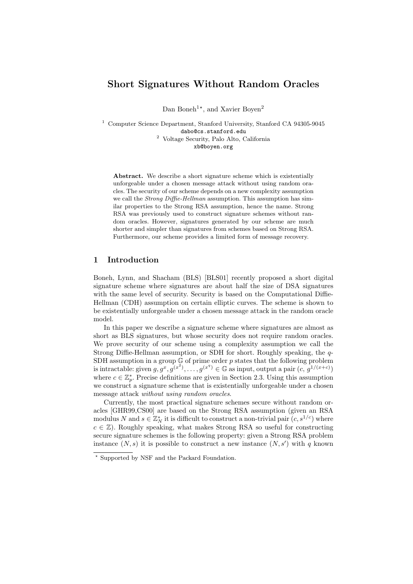# Short Signatures Without Random Oracles

Dan Boneh<sup>1\*</sup>, and Xavier Boyen<sup>2</sup>

<sup>1</sup> Computer Science Department, Stanford University, Stanford CA 94305-9045 dabo@cs.stanford.edu <sup>2</sup> Voltage Security, Palo Alto, California

xb@boyen.org

Abstract. We describe a short signature scheme which is existentially unforgeable under a chosen message attack without using random oracles. The security of our scheme depends on a new complexity assumption we call the *Strong Diffie-Hellman* assumption. This assumption has similar properties to the Strong RSA assumption, hence the name. Strong RSA was previously used to construct signature schemes without random oracles. However, signatures generated by our scheme are much shorter and simpler than signatures from schemes based on Strong RSA. Furthermore, our scheme provides a limited form of message recovery.

# 1 Introduction

Boneh, Lynn, and Shacham (BLS) [BLS01] recently proposed a short digital signature scheme where signatures are about half the size of DSA signatures with the same level of security. Security is based on the Computational Diffie-Hellman (CDH) assumption on certain elliptic curves. The scheme is shown to be existentially unforgeable under a chosen message attack in the random oracle model.

In this paper we describe a signature scheme where signatures are almost as short as BLS signatures, but whose security does not require random oracles. We prove security of our scheme using a complexity assumption we call the Strong Diffie-Hellman assumption, or SDH for short. Roughly speaking, the q-SDH assumption in a group  $\mathbb G$  of prime order  $p$  states that the following problem is intractable: given  $g, g^x, g^{(x^2)}, \ldots, g^{(x^q)} \in \mathbb{G}$  as input, output a pair  $(c, g^{1/(x+c)})$ where  $c \in \mathbb{Z}_p^*$ . Precise definitions are given in Section 2.3. Using this assumption we construct a signature scheme that is existentially unforgeable under a chosen message attack without using random oracles.

Currently, the most practical signature schemes secure without random oracles [GHR99,CS00] are based on the Strong RSA assumption (given an RSA modulus N and  $s \in \mathbb{Z}_N^*$  it is difficult to construct a non-trivial pair  $(c, s^{1/c})$  where  $c \in \mathbb{Z}$ ). Roughly speaking, what makes Strong RSA so useful for constructing secure signature schemes is the following property: given a Strong RSA problem instance  $(N, s)$  it is possible to construct a new instance  $(N, s')$  with q known

<sup>?</sup> Supported by NSF and the Packard Foundation.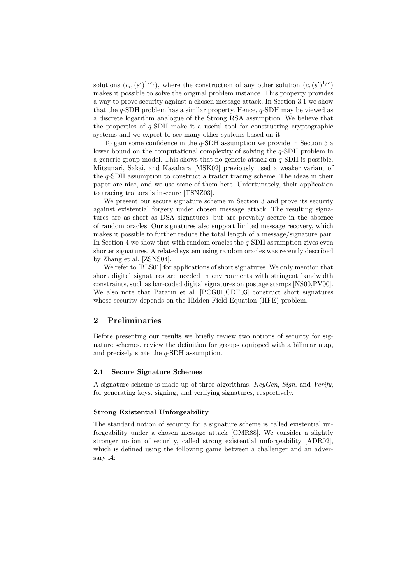solutions  $(c_i, (s')^{1/c_i})$ , where the construction of any other solution  $(c, (s')^{1/c})$ makes it possible to solve the original problem instance. This property provides a way to prove security against a chosen message attack. In Section 3.1 we show that the  $q$ -SDH problem has a similar property. Hence,  $q$ -SDH may be viewed as a discrete logarithm analogue of the Strong RSA assumption. We believe that the properties of q-SDH make it a useful tool for constructing cryptographic systems and we expect to see many other systems based on it.

To gain some confidence in the  $q$ -SDH assumption we provide in Section 5 a lower bound on the computational complexity of solving the q-SDH problem in a generic group model. This shows that no generic attack on q-SDH is possible. Mitsunari, Sakai, and Kasahara [MSK02] previously used a weaker variant of the q-SDH assumption to construct a traitor tracing scheme. The ideas in their paper are nice, and we use some of them here. Unfortunately, their application to tracing traitors is insecure [TSNZ03].

We present our secure signature scheme in Section 3 and prove its security against existential forgery under chosen message attack. The resulting signatures are as short as DSA signatures, but are provably secure in the absence of random oracles. Our signatures also support limited message recovery, which makes it possible to further reduce the total length of a message/signature pair. In Section 4 we show that with random oracles the q-SDH assumption gives even shorter signatures. A related system using random oracles was recently described by Zhang et al. [ZSNS04].

We refer to [BLS01] for applications of short signatures. We only mention that short digital signatures are needed in environments with stringent bandwidth constraints, such as bar-coded digital signatures on postage stamps [NS00,PV00]. We also note that Patarin et al. [PCG01,CDF03] construct short signatures whose security depends on the Hidden Field Equation (HFE) problem.

# 2 Preliminaries

Before presenting our results we briefly review two notions of security for signature schemes, review the definition for groups equipped with a bilinear map, and precisely state the q-SDH assumption.

### 2.1 Secure Signature Schemes

A signature scheme is made up of three algorithms,  $KeyGen$ , Sign, and Verify, for generating keys, signing, and verifying signatures, respectively.

### Strong Existential Unforgeability

The standard notion of security for a signature scheme is called existential unforgeability under a chosen message attack [GMR88]. We consider a slightly stronger notion of security, called strong existential unforgeability [ADR02], which is defined using the following game between a challenger and an adversary  $A$ :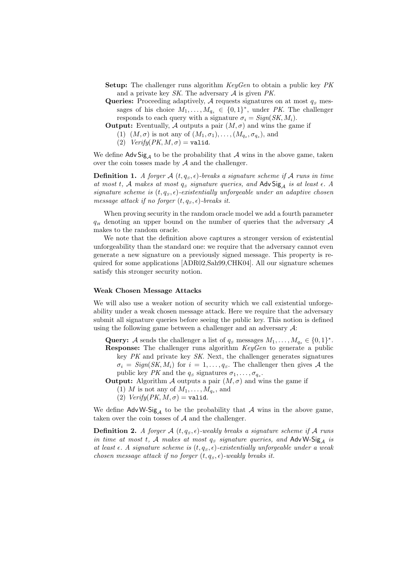- **Setup:** The challenger runs algorithm  $KeyGen$  to obtain a public key  $PK$ and a private key  $SK$ . The adversary  $A$  is given  $PK$ .
- Queries: Proceeding adaptively,  $A$  requests signatures on at most  $q_S$  messages of his choice  $M_1, \ldots, M_{q_s} \in \{0,1\}^*$ , under PK. The challenger responds to each query with a signature  $\sigma_i = Sign(SK, M_i)$ .

**Output:** Eventually, A outputs a pair  $(M, \sigma)$  and wins the game if

- (1)  $(M, \sigma)$  is not any of  $(M_1, \sigma_1), \ldots, (M_{q_s}, \sigma_{q_s})$ , and
- (2)  $Verify(PK, M, \sigma) = valid.$

We define Adv Sig<sub>A</sub> to be the probability that  $A$  wins in the above game, taken over the coin tosses made by  $A$  and the challenger.

**Definition 1.** A forger  $\mathcal{A}(t, q_s, \epsilon)$ -breaks a signature scheme if  $\mathcal{A}$  runs in time at most t, A makes at most  $q_S$  signature queries, and Adv  $\text{Sig}_{\mathcal{A}}$  is at least  $\epsilon$ . A signature scheme is  $(t, q_s, \epsilon)$ -existentially unforgeable under an adaptive chosen message attack if no forger  $(t, q_s, \epsilon)$ -breaks it.

When proving security in the random oracle model we add a fourth parameter  $q_H$  denoting an upper bound on the number of queries that the adversary  $A$ makes to the random oracle.

We note that the definition above captures a stronger version of existential unforgeability than the standard one: we require that the adversary cannot even generate a new signature on a previously signed message. This property is required for some applications [ADR02,Sah99,CHK04]. All our signature schemes satisfy this stronger security notion.

#### Weak Chosen Message Attacks

We will also use a weaker notion of security which we call existential unforgeability under a weak chosen message attack. Here we require that the adversary submit all signature queries before seeing the public key. This notion is defined using the following game between a challenger and an adversary  $\mathcal{A}$ :

Query: A sends the challenger a list of  $q_s$  messages  $M_1, \ldots, M_{q_s} \in \{0,1\}^*$ . Response: The challenger runs algorithm  $KeyGen$  to generate a public key PK and private key SK. Next, the challenger generates signatures  $\sigma_i = \text{Sign}(SK, M_i)$  for  $i = 1, \ldots, q_s$ . The challenger then gives A the public key PK and the  $q_s$  signatures  $\sigma_1, \ldots, \sigma_{q_s}$ .

**Output:** Algorithm A outputs a pair  $(M, \sigma)$  and wins the game if

- (1) M is not any of  $M_1, \ldots, M_{q_s}$ , and
- (2) Verify $(PK, M, \sigma) = \text{valid}.$

We define Adv W-Sig<sub>A</sub> to be the probability that A wins in the above game, taken over the coin tosses of  $A$  and the challenger.

**Definition 2.** A forger  $\mathcal{A}(t, q_s, \epsilon)$ -weakly breaks a signature scheme if  $\mathcal{A}$  runs in time at most t, A makes at most  $q_s$  signature queries, and Adv W-Sig<sub>A</sub> is at least  $\epsilon$ . A signature scheme is  $(t, q_S, \epsilon)$ -existentially unforgeable under a weak chosen message attack if no forger  $(t, q<sub>s</sub>, \epsilon)$ -weakly breaks it.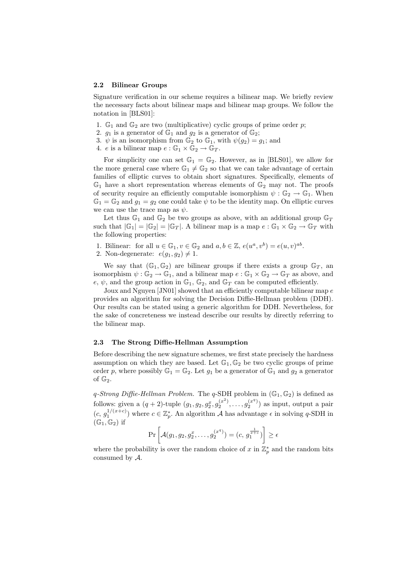#### 2.2 Bilinear Groups

Signature verification in our scheme requires a bilinear map. We briefly review the necessary facts about bilinear maps and bilinear map groups. We follow the notation in [BLS01]:

- 1.  $\mathbb{G}_1$  and  $\mathbb{G}_2$  are two (multiplicative) cyclic groups of prime order p;
- 2.  $g_1$  is a generator of  $\mathbb{G}_1$  and  $g_2$  is a generator of  $\mathbb{G}_2$ ;
- 3.  $\psi$  is an isomorphism from  $\mathbb{G}_2$  to  $\mathbb{G}_1$ , with  $\psi(g_2) = g_1$ ; and
- 4. e is a bilinear map  $e : \mathbb{G}_1 \times \mathbb{G}_2 \to \mathbb{G}_T$ .

For simplicity one can set  $\mathbb{G}_1 = \mathbb{G}_2$ . However, as in [BLS01], we allow for the more general case where  $\mathbb{G}_1 \neq \mathbb{G}_2$  so that we can take advantage of certain families of elliptic curves to obtain short signatures. Specifically, elements of  $\mathbb{G}_1$  have a short representation whereas elements of  $\mathbb{G}_2$  may not. The proofs of security require an efficiently computable isomorphism  $\psi : \mathbb{G}_2 \to \mathbb{G}_1$ . When  $\mathbb{G}_1 = \mathbb{G}_2$  and  $g_1 = g_2$  one could take  $\psi$  to be the identity map. On elliptic curves we can use the trace map as  $\psi$ .

Let thus  $\mathbb{G}_1$  and  $\mathbb{G}_2$  be two groups as above, with an additional group  $\mathbb{G}_T$ such that  $|\mathbb{G}_1| = |\mathbb{G}_2| = |\mathbb{G}_T|$ . A bilinear map is a map  $e : \mathbb{G}_1 \times \mathbb{G}_2 \to \mathbb{G}_T$  with the following properties:

- 1. Bilinear: for all  $u \in \mathbb{G}_1, v \in \mathbb{G}_2$  and  $a, b \in \mathbb{Z}, e(u^a, v^b) = e(u, v)^{ab}$ .
- 2. Non-degenerate:  $e(g_1, g_2) \neq 1$ .

We say that  $(\mathbb{G}_1, \mathbb{G}_2)$  are bilinear groups if there exists a group  $\mathbb{G}_T$ , an isomorphism  $\psi : \mathbb{G}_2 \to \mathbb{G}_1$ , and a bilinear map  $e : \mathbb{G}_1 \times \mathbb{G}_2 \to \mathbb{G}_T$  as above, and e,  $\psi$ , and the group action in  $\mathbb{G}_1$ ,  $\mathbb{G}_2$ , and  $\mathbb{G}_T$  can be computed efficiently.

Joux and Nguyen [JN01] showed that an efficiently computable bilinear map e provides an algorithm for solving the Decision Diffie-Hellman problem (DDH). Our results can be stated using a generic algorithm for DDH. Nevertheless, for the sake of concreteness we instead describe our results by directly referring to the bilinear map.

#### 2.3 The Strong Diffie-Hellman Assumption

Before describing the new signature schemes, we first state precisely the hardness assumption on which they are based. Let  $\mathbb{G}_1, \mathbb{G}_2$  be two cyclic groups of prime order p, where possibly  $\mathbb{G}_1 = \mathbb{G}_2$ . Let  $g_1$  be a generator of  $\mathbb{G}_1$  and  $g_2$  a generator of  $\mathbb{G}_2$ .

q-Strong Diffie-Hellman Problem. The q-SDH problem in  $(\mathbb{G}_1, \mathbb{G}_2)$  is defined as follows: given a  $(q+2)$ -tuple  $(g_1, g_2, g_2^x, g_2^{(x^2)}, \ldots, g_2^{(x^q)})$  as input, output a pair  $(c, g_1^{1/(x+c)})$  where  $c \in \mathbb{Z}_p^*$ . An algorithm A has advantage  $\epsilon$  in solving q-SDH in  $(\mathbb{G}_1, \mathbb{G}_2)$  if

$$
\Pr\left[\mathcal{A}(g_1,g_2,g_2^x,\ldots,g_2^{(x^q)})=(c,\,g_1^{\frac{1}{x+c}})\right]\geq \epsilon
$$

where the probability is over the random choice of x in  $\mathbb{Z}_p^*$  and the random bits consumed by A.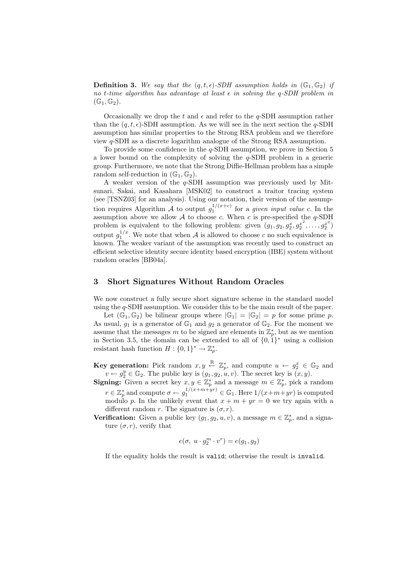**Definition 3.** We say that the  $(q, t, \epsilon)$ -SDH assumption holds in  $(\mathbb{G}_1, \mathbb{G}_2)$  if no t-time algorithm has advantage at least  $\epsilon$  in solving the q-SDH problem in  $(\mathbb{G}_1, \mathbb{G}_2).$ 

Occasionally we drop the t and  $\epsilon$  and refer to the q-SDH assumption rather than the  $(q, t, \epsilon)$ -SDH assumption. As we will see in the next section the q-SDH assumption has similar properties to the Strong RSA problem and we therefore view q-SDH as a discrete logarithm analogue of the Strong RSA assumption.

To provide some confidence in the  $q$ -SDH assumption, we prove in Section 5 a lower bound on the complexity of solving the q-SDH problem in a generic group. Furthermore, we note that the Strong Diffie-Hellman problem has a simple random self-reduction in  $(\mathbb{G}_1, \mathbb{G}_2)$ .

A weaker version of the q-SDH assumption was previously used by Mitsunari, Sakai, and Kasahara [MSK02] to construct a traitor tracing system (see [TSNZ03] for an analysis). Using our notation, their version of the assumption requires Algorithm A to output  $g_1^{1/(x+c)}$  for a *given input value c*. In the assumption above we allow  $A$  to choose c. When c is pre-specified the q-SDH problem is equivalent to the following problem: given  $(g_1, g_2, g_2^x, g_2^{x^2}, \ldots, g_2^{x^q})$ output  $g_1^{1/x}$ . We note that when A is allowed to choose c no such equivalence is known. The weaker variant of the assumption was recently used to construct an efficient selective identity secure identity based encryption (IBE) system without random oracles [BB04a].

### 3 Short Signatures Without Random Oracles

We now construct a fully secure short signature scheme in the standard model using the q-SDH assumption. We consider this to be the main result of the paper.

Let  $(\mathbb{G}_1, \mathbb{G}_2)$  be bilinear groups where  $|\mathbb{G}_1| = |\mathbb{G}_2| = p$  for some prime p. As usual,  $g_1$  is a generator of  $\mathbb{G}_1$  and  $g_2$  a generator of  $\mathbb{G}_2$ . For the moment we assume that the messages m to be signed are elements in  $\mathbb{Z}_p^*$ , but as we mention in Section 3.5, the domain can be extended to all of  $\{0, 1\}^*$  using a collision resistant hash function  $H: \{0,1\}^* \to \mathbb{Z}_p^*$ .

Key generation: Pick random  $x, y \stackrel{\text{R}}{\leftarrow} \mathbb{Z}_p^*$ , and compute  $u \leftarrow g_2^x \in \mathbb{G}_2$  and  $v \leftarrow g_2^y \in \mathbb{G}_2$ . The public key is  $(g_1, g_2, u, v)$ . The secret key is  $(x, y)$ .

**Signing:** Given a secret key  $x, y \in \mathbb{Z}_p^*$  and a message  $m \in \mathbb{Z}_p^*$ , pick a random  $r \in \mathbb{Z}_p^*$  and compute  $\sigma \leftarrow g_1^{1/(x+m+yr)} \in \mathbb{G}_1$ . Here  $1/(x+m+yr)$  is computed modulo p. In the unlikely event that  $x + m + yr = 0$  we try again with a different random r. The signature is  $(\sigma, r)$ .

**Verification:** Given a public key  $(g_1, g_2, u, v)$ , a message  $m \in \mathbb{Z}_p^*$ , and a signature  $(\sigma, r)$ , verify that

$$
e(\sigma,\; u\cdot g_2^m\cdot v^r)=e(g_1,g_2)
$$

If the equality holds the result is valid; otherwise the result is invalid.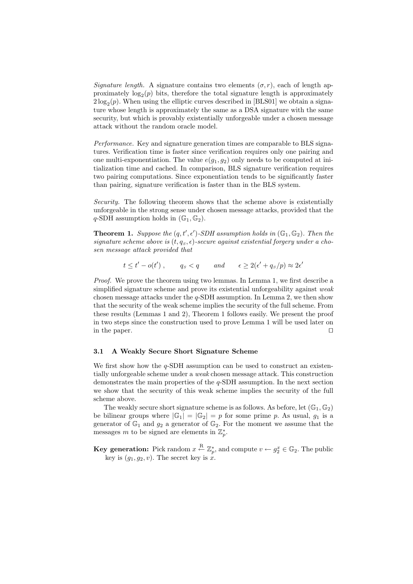Signature length. A signature contains two elements  $(\sigma, r)$ , each of length approximately  $log_2(p)$  bits, therefore the total signature length is approximately  $2\log_2(p)$ . When using the elliptic curves described in [BLS01] we obtain a signature whose length is approximately the same as a DSA signature with the same security, but which is provably existentially unforgeable under a chosen message attack without the random oracle model.

Performance. Key and signature generation times are comparable to BLS signatures. Verification time is faster since verification requires only one pairing and one multi-exponentiation. The value  $e(g_1, g_2)$  only needs to be computed at initialization time and cached. In comparison, BLS signature verification requires two pairing computations. Since exponentiation tends to be significantly faster than pairing, signature verification is faster than in the BLS system.

Security. The following theorem shows that the scheme above is existentially unforgeable in the strong sense under chosen message attacks, provided that the  $q$ -SDH assumption holds in  $(\mathbb{G}_1, \mathbb{G}_2)$ .

**Theorem 1.** Suppose the  $(q, t', \epsilon')$ -SDH assumption holds in  $(\mathbb{G}_1, \mathbb{G}_2)$ . Then the signature scheme above is  $(t, q_s, \epsilon)$ -secure against existential forgery under a chosen message attack provided that

$$
t \leq t' - o(t')
$$
,  $q_s < q$  and  $\epsilon \geq 2(\epsilon' + q_s/p) \approx 2\epsilon'$ 

Proof. We prove the theorem using two lemmas. In Lemma 1, we first describe a simplified signature scheme and prove its existential unforgeability against weak chosen message attacks under the  $q$ -SDH assumption. In Lemma 2, we then show that the security of the weak scheme implies the security of the full scheme. From these results (Lemmas 1 and 2), Theorem 1 follows easily. We present the proof in two steps since the construction used to prove Lemma 1 will be used later on in the paper.  $\Box$ 

#### 3.1 A Weakly Secure Short Signature Scheme

We first show how the  $q$ -SDH assumption can be used to construct an existentially unforgeable scheme under a weak chosen message attack. This construction demonstrates the main properties of the q-SDH assumption. In the next section we show that the security of this weak scheme implies the security of the full scheme above.

The weakly secure short signature scheme is as follows. As before, let  $(\mathbb{G}_1, \mathbb{G}_2)$ be bilinear groups where  $|\mathbb{G}_1| = |\mathbb{G}_2| = p$  for some prime p. As usual,  $g_1$  is a generator of  $\mathbb{G}_1$  and  $g_2$  a generator of  $\mathbb{G}_2$ . For the moment we assume that the messages m to be signed are elements in  $\mathbb{Z}_p^*$ .

Key generation: Pick random  $x \stackrel{\text{R}}{\leftarrow} \mathbb{Z}_p^*$ , and compute  $v \leftarrow g_2^x \in \mathbb{G}_2.$  The public key is  $(g_1, g_2, v)$ . The secret key is x.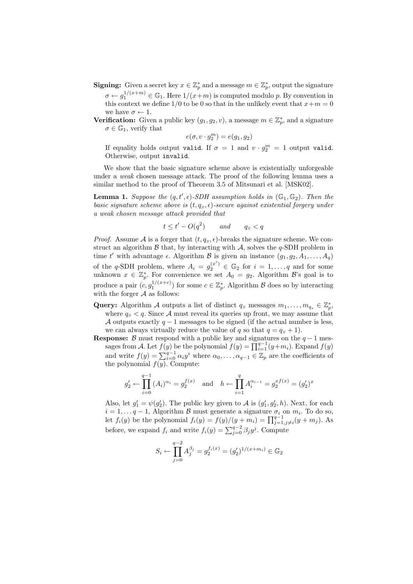- **Signing:** Given a secret key  $x \in \mathbb{Z}_p^*$  and a message  $m \in \mathbb{Z}_p^*$ , output the signature  $\sigma \leftarrow g_1^{1/(x+m)} \in \mathbb{G}_1$ . Here  $1/(x+m)$  is computed modulo p. By convention in this context we define  $1/0$  to be 0 so that in the unlikely event that  $x+m=0$ we have  $\sigma \leftarrow 1$ .
- **Verification:** Given a public key  $(g_1, g_2, v)$ , a message  $m \in \mathbb{Z}_p^*$ , and a signature  $\sigma \in \mathbb{G}_1$ , verify that

$$
e(\sigma, v\cdot g_2^m)=e(g_1,g_2)
$$

If equality holds output valid. If  $\sigma = 1$  and  $v \cdot g_2^m = 1$  output valid. Otherwise, output invalid.

We show that the basic signature scheme above is existentially unforgeable under a *weak* chosen message attack. The proof of the following lemma uses a similar method to the proof of Theorem 3.5 of Mitsunari et al. [MSK02].

**Lemma 1.** Suppose the  $(q, t', \epsilon)$ -SDH assumption holds in  $(\mathbb{G}_1, \mathbb{G}_2)$ . Then the basic signature scheme above is  $(t, q_S, \epsilon)$ -secure against existential forgery under a weak chosen message attack provided that

$$
t \le t' - O(q^2) \qquad \text{and} \qquad q_s < q
$$

*Proof.* Assume  $A$  is a forger that  $(t, q_s, \epsilon)$ -breaks the signature scheme. We construct an algorithm  $\beta$  that, by interacting with  $\mathcal{A}$ , solves the q-SDH problem in time t' with advantage  $\epsilon$ . Algorithm  $\beta$  is given an instance  $(g_1, g_2, A_1, \ldots, A_q)$ of the q-SDH problem, where  $A_i = g_2^{(x^i)} \in \mathbb{G}_2$  for  $i = 1, \ldots, q$  and for some unknown  $x \in \mathbb{Z}_p^*$ . For convenience we set  $A_0 = g_2$ . Algorithm  $\mathcal{B}$ 's goal is to produce a pair  $(c, g_1^{1/(x+c)})$  for some  $c \in \mathbb{Z}_p^*$ . Algorithm  $\mathcal B$  does so by interacting with the forger  $A$  as follows:

- Query: Algorithm A outputs a list of distinct  $q_s$  messages  $m_1, \ldots, m_{q_s} \in \mathbb{Z}_p^*$ , where  $q_s < q$ . Since A must reveal its queries up front, we may assume that A outputs exactly  $q - 1$  messages to be signed (if the actual number is less, we can always virtually reduce the value of q so that  $q = q_s + 1$ .
- **Response:** B must respond with a public key and signatures on the  $q-1$  messages from A. Let  $f(y)$  be the polynomial  $f(y) = \prod_{i=1}^{q-1} (y+m_i)$ . Expand  $f(y)$ and write  $f(y) = \sum_{i=0}^{q-1} \alpha_i y^i$  where  $\alpha_0, \ldots, \alpha_{q-1} \in \mathbb{Z}_p$  are the coefficients of the polynomial  $f(y)$ . Compute:

$$
g'_2 \leftarrow \prod_{i=0}^{q-1} (A_i)^{\alpha_i} = g_2^{f(x)}
$$
 and  $h \leftarrow \prod_{i=1}^{q} A_i^{\alpha_{i-1}} = g_2^{xf(x)} = (g'_2)^x$ 

Also, let  $g_1' = \psi(g_2')$ . The public key given to A is  $(g_1', g_2', h)$ . Next, for each  $i = 1, \ldots q - 1$ , Algorithm B must generate a signature  $\sigma_i$  on  $m_i$ . To do so, let  $f_i(y)$  be the polynomial  $f_i(y) = f(y)/(y + m_i) = \prod_{j=1, j \neq i}^{q-1} (y + m_j)$ . As before, we expand  $f_i$  and write  $f_i(y) = \sum_{j=0}^{q-2} \beta_j y^j$ . Compute

$$
S_i \leftarrow \prod_{j=0}^{q-2} A_j^{\beta_j} = g_2^{f_i(x)} = (g_2')^{1/(x+m_i)} \in \mathbb{G}_2
$$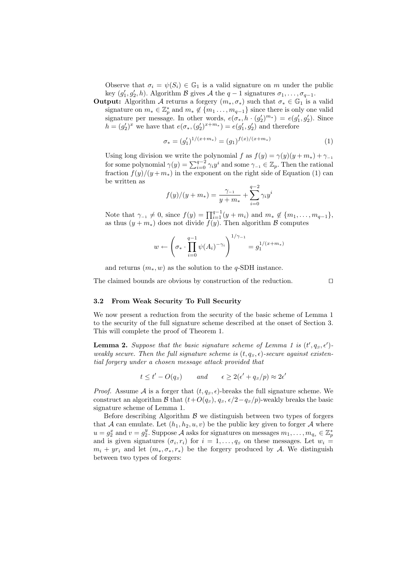Observe that  $\sigma_i = \psi(S_i) \in \mathbb{G}_1$  is a valid signature on m under the public key  $(g'_1, g'_2, h)$ . Algorithm  $\mathcal B$  gives  $\mathcal A$  the  $q-1$  signatures  $\sigma_1, \ldots, \sigma_{q-1}$ .

**Output:** Algorithm A returns a forgery  $(m_*, \sigma_*)$  such that  $\sigma_* \in \mathbb{G}_1$  is a valid signature on  $m_* \in \mathbb{Z}_p^*$  and  $m_* \notin \{m_1, \ldots, m_{q-1}\}\$  since there is only one valid signature per message. In other words,  $e(\sigma_*, h \cdot (g'_2)^{m_*}) = e(g'_1, g'_2)$ . Since  $h = (g'_2)^x$  we have that  $e(\sigma_*, (g'_2)^{x+m_*}) = e(g'_1, g'_2)$  and therefore

$$
\sigma_* = (g'_1)^{1/(x+m_*)} = (g_1)^{f(x)/(x+m_*)} \tag{1}
$$

Using long division we write the polynomial f as  $f(y) = \gamma(y)(y + m_*) + \gamma_{-1}$ for some polynomial  $\gamma(y) = \sum_{i=0}^{q-2} \gamma_i y^i$  and some  $\gamma_{-1} \in \mathbb{Z}_p$ . Then the rational fraction  $f(y)/(y + m_*)$  in the exponent on the right side of Equation (1) can be written as

$$
f(y)/(y + m_*) = \frac{\gamma_{-1}}{y + m_*} + \sum_{i=0}^{q-2} \gamma_i y^i
$$

Note that  $\gamma_{-1} \neq 0$ , since  $f(y) = \prod_{i=1}^{q-1} (y + m_i)$  and  $m_* \notin \{m_1, \ldots, m_{q-1}\},$ as thus  $(y + m_*)$  does not divide  $f(y)$ . Then algorithm  $\beta$  computes

$$
w \leftarrow \left(\sigma_* \cdot \prod_{i=0}^{q-1} \psi(A_i)^{-\gamma_i}\right)^{1/\gamma_{-1}} = g_1^{1/(x+m_*)}
$$

and returns  $(m_*, w)$  as the solution to the q-SDH instance.

The claimed bounds are obvious by construction of the reduction.  $\Box$ 

#### 3.2 From Weak Security To Full Security

We now present a reduction from the security of the basic scheme of Lemma 1 to the security of the full signature scheme described at the onset of Section 3. This will complete the proof of Theorem 1.

**Lemma 2.** Suppose that the basic signature scheme of Lemma 1 is  $(t', q_s, \epsilon')$ . weakly secure. Then the full signature scheme is  $(t, q_s, \epsilon)$ -secure against existential forgery under a chosen message attack provided that

$$
t \leq t' - O(q_s)
$$
 and  $\epsilon \geq 2(\epsilon' + q_s/p) \approx 2\epsilon'$ 

*Proof.* Assume A is a forger that  $(t, q_s, \epsilon)$ -breaks the full signature scheme. We construct an algorithm B that  $(t+O(q_S), q_S, \epsilon/2-q_S /p)$ -weakly breaks the basic signature scheme of Lemma 1.

Before describing Algorithm  $\beta$  we distinguish between two types of forgers that A can emulate. Let  $(h_1, h_2, u, v)$  be the public key given to forger A where  $u = g_2^x$  and  $v = g_2^y$ . Suppose A asks for signatures on messages  $m_1, \ldots, m_{q_s} \in \mathbb{Z}_p^*$ and is given signatures  $(\sigma_i, r_i)$  for  $i = 1, \ldots, q_s$  on these messages. Let  $w_i =$  $m_i + yr_i$  and let  $(m_*, \sigma_*, r_*)$  be the forgery produced by A. We distinguish between two types of forgers: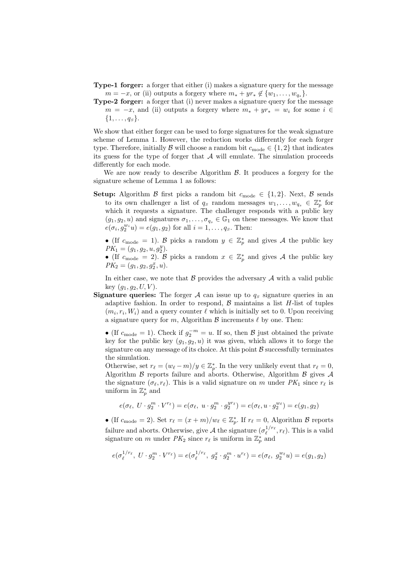Type-1 forger: a forger that either (i) makes a signature query for the message  $m = -x$ , or (ii) outputs a forgery where  $m_* + yr_* \notin \{w_1, \ldots, w_{q_s}\}.$ 

Type-2 forger: a forger that (i) never makes a signature query for the message  $m = -x$ , and (ii) outputs a forgery where  $m_* + yr_* = w_i$  for some  $i \in$  $\{1, \ldots, q_s\}.$ 

We show that either forger can be used to forge signatures for the weak signature scheme of Lemma 1. However, the reduction works differently for each forger type. Therefore, initially B will choose a random bit  $c_{\text{mode}} \in \{1,2\}$  that indicates its guess for the type of forger that  $A$  will emulate. The simulation proceeds differently for each mode.

We are now ready to describe Algorithm  $\beta$ . It produces a forgery for the signature scheme of Lemma 1 as follows:

- **Setup:** Algorithm B first picks a random bit  $c_{\text{mode}} \in \{1,2\}$ . Next, B sends to its own challenger a list of  $q_s$  random messages  $w_1, \ldots, w_{q_s} \in \mathbb{Z}_p^*$  for which it requests a signature. The challenger responds with a public key  $(g_1, g_2, u)$  and signatures  $\sigma_1, \ldots, \sigma_{q_s} \in \mathbb{G}_1$  on these messages. We know that  $e(\sigma_i, g_2^{w_i}u) = e(g_1, g_2)$  for all  $i = 1, ..., q_s$ . Then:
	- (If  $c_{\text{mode}} = 1$ ). B picks a random  $y \in \mathbb{Z}_p^*$  and gives A the public key  $PK_1 = (g_1, g_2, u, g_2^y).$
	- (If  $c_{\text{mode}} = 2$ ). B picks a random  $x \in \mathbb{Z}_p^*$  and gives A the public key  $PK_2 = (g_1, g_2, g_2^x, u).$

In either case, we note that  $\beta$  provides the adversary  $\mathcal A$  with a valid public key  $(g_1, g_2, U, V)$ .

**Signature queries:** The forger  $A$  can issue up to  $q_s$  signature queries in an adaptive fashion. In order to respond,  $\beta$  maintains a list H-list of tuples  $(m_i, r_i, W_i)$  and a query counter  $\ell$  which is initially set to 0. Upon receiving a signature query for m, Algorithm  $\beta$  increments  $\ell$  by one. Then:

• (If  $c_{\text{mode}} = 1$ ). Check if  $g_2^{-m} = u$ . If so, then B just obtained the private key for the public key  $(g_1, g_2, u)$  it was given, which allows it to forge the signature on any message of its choice. At this point  $\beta$  successfully terminates the simulation.

Otherwise, set  $r_\ell = (w_\ell - m)/y \in \mathbb{Z}_p^*$ . In the very unlikely event that  $r_\ell = 0$ , Algorithm  $\beta$  reports failure and aborts. Otherwise, Algorithm  $\beta$  gives  $\mathcal A$ the signature  $(\sigma_{\ell}, r_{\ell})$ . This is a valid signature on m under PK<sub>1</sub> since  $r_{\ell}$  is uniform in  $\mathbb{Z}_p^*$  and

$$
e(\sigma_\ell,~U\cdot g^m_2\cdot V^{r_\ell})=e(\sigma_\ell,~u\cdot g^m_2\cdot g^{yr_\ell}_2)=e(\sigma_\ell, u\cdot g^{w_\ell}_2)=e(g_1,g_2)
$$

• (If  $c_{\text{mode}} = 2$ ). Set  $r_{\ell} = (x + m)/w_{\ell} \in \mathbb{Z}_p^*$ . If  $r_{\ell} = 0$ , Algorithm  $\beta$  reports failure and aborts. Otherwise, give A the signature  $(\sigma_\ell^{1/r_\ell}, r_\ell)$ . This is a valid signature on m under  $PK_2$  since  $r_\ell$  is uniform in  $\mathbb{Z}_p^*$  and

$$
e(\sigma_{\ell}^{1/r_{\ell}}, U \cdot g_2^m \cdot V^{r_{\ell}}) = e(\sigma_{\ell}^{1/r_{\ell}}, g_2^m \cdot g_2^m \cdot u^{r_{\ell}}) = e(\sigma_{\ell}, g_2^{w_{\ell}} u) = e(g_1, g_2)
$$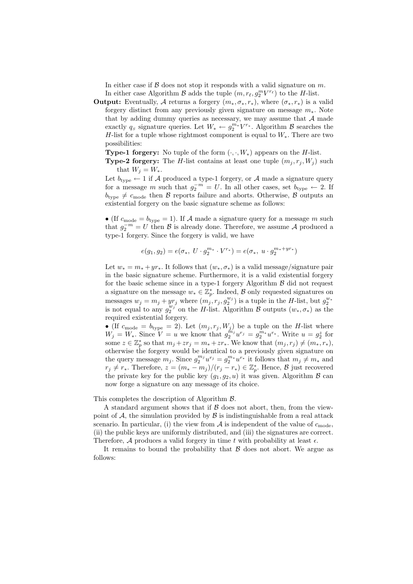In either case if  $\beta$  does not stop it responds with a valid signature on m. In either case Algorithm  $\mathcal B$  adds the tuple  $(m, r_\ell, g_2^m V^{r_\ell})$  to the H-list.

**Output:** Eventually, A returns a forgery  $(m_*, \sigma_*, r_*),$  where  $(\sigma_*, r_*)$  is a valid forgery distinct from any previously given signature on message  $m_{*}$ . Note that by adding dummy queries as necessary, we may assume that  $A$  made exactly  $q_s$  signature queries. Let  $W_* \leftarrow g_2^{m_*} V^{r_*}$ . Algorithm  $\mathcal{B}$  searches the H-list for a tuple whose rightmost component is equal to  $W_*$ . There are two possibilities:

**Type-1 forgery:** No tuple of the form  $(\cdot, \cdot, W_*)$  appears on the *H*-list.

**Type-2 forgery:** The *H*-list contains at least one tuple  $(m_i, r_i, W_i)$  such that  $W_i = W_*$ .

Let  $b_{\text{type}} \leftarrow 1$  if  $\mathcal A$  produced a type-1 forgery, or  $\mathcal A$  made a signature query for a message m such that  $g_2^{-m} = U$ . In all other cases, set  $b_{\text{type}} \leftarrow 2$ . If  $b_{\text{true}} \neq c_{\text{mode}}$  then B reports failure and aborts. Otherwise, B outputs an existential forgery on the basic signature scheme as follows:

• (If  $c_{\text{mode}} = b_{\text{type}} = 1$ ). If A made a signature query for a message m such that  $g_2^{-m} = U$  then  $\beta$  is already done. Therefore, we assume  $\mathcal A$  produced a type-1 forgery. Since the forgery is valid, we have

$$
e(g_1, g_2) = e(\sigma_*, \ U \cdot g_2^{m_*} \cdot V^{r_*}) = e(\sigma_*, \ u \cdot g_2^{m_*+yr_*})
$$

Let  $w_* = m_* + yr_*$ . It follows that  $(w_*, \sigma_*)$  is a valid message/signature pair in the basic signature scheme. Furthermore, it is a valid existential forgery for the basic scheme since in a type-1 forgery Algorithm  $\beta$  did not request a signature on the message  $w_* \in \mathbb{Z}_p^*$ . Indeed,  $\mathcal B$  only requested signatures on messages  $w_j = m_j + yr_j$  where  $(m_j, r_j, g_2^{w_j})$  is a tuple in the *H*-list, but  $g_2^{w_*}$  is not equal to any  $g_2^{w_j}$  on the *H*-list. Algorithm *B* outputs  $(w_*, \sigma_*)$  as the required existential forgery.

• (If  $c_{\text{mode}} = b_{\text{type}} = 2$ ). Let  $(m_j, r_j, W_j)$  be a tuple on the H-list where  $W_j = W_*$ . Since  $V = u$  we know that  $g_2^{m_j} u^{r_j} = g_2^{m_*} u^{r_*}$ . Write  $u = g_2^z$  for some  $z \in \mathbb{Z}_p^*$  so that  $m_j + zr_j = m_* + zr_*$ . We know that  $(m_j, r_j) \neq (m_*, r_*)$ , otherwise the forgery would be identical to a previously given signature on the query message  $m_j$ . Since  $g_2^{m_j}u^{r_j}=g_2^{m_*}u^{r_*}$  it follows that  $m_j\neq m_*$  and  $r_j \neq r_*$ . Therefore,  $z = (m_* - m_j)/(r_j - r_*) \in \mathbb{Z}_p^*$ . Hence,  $\mathcal{B}$  just recovered the private key for the public key  $(g_1, g_2, u)$  it was given. Algorithm  $\beta$  can now forge a signature on any message of its choice.

This completes the description of Algorithm  $\beta$ .

A standard argument shows that if  $\beta$  does not abort, then, from the viewpoint of  $A$ , the simulation provided by  $\beta$  is indistinguishable from a real attack scenario. In particular, (i) the view from  $A$  is independent of the value of  $c_{\text{mode}}$ , (ii) the public keys are uniformly distributed, and (iii) the signatures are correct. Therefore, A produces a valid forgery in time t with probability at least  $\epsilon$ .

It remains to bound the probability that  $\beta$  does not abort. We argue as follows: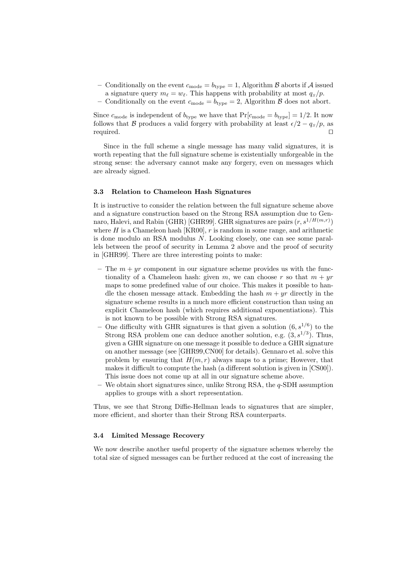- Conditionally on the event  $c_{\text{mode}} = b_{\text{type}} = 1$ , Algorithm  $\beta$  aborts if  $\mathcal{A}$  issued a signature query  $m_\ell = w_\ell$ . This happens with probability at most  $q_s / p$ .
- Conditionally on the event  $c_{\text{mode}} = b_{\text{type}} = 2$ , Algorithm  $\beta$  does not abort.

Since  $c_{\text{mode}}$  is independent of  $b_{\text{type}}$  we have that  $Pr[c_{\text{mode}} = b_{\text{type}}] = 1/2$ . It now follows that B produces a valid forgery with probability at least  $\epsilon/2 - q_s/p$ , as  $\Box$  required.  $\Box$ 

Since in the full scheme a single message has many valid signatures, it is worth repeating that the full signature scheme is existentially unforgeable in the strong sense: the adversary cannot make any forgery, even on messages which are already signed.

#### 3.3 Relation to Chameleon Hash Signatures

It is instructive to consider the relation between the full signature scheme above and a signature construction based on the Strong RSA assumption due to Gennaro, Halevi, and Rabin (GHR) [GHR99]. GHR signatures are pairs  $(r, s^{1/H(m,r)})$ where  $H$  is a Chameleon hash  $[KR00], r$  is random in some range, and arithmetic is done modulo an RSA modulus N. Looking closely, one can see some parallels between the proof of security in Lemma 2 above and the proof of security in [GHR99]. There are three interesting points to make:

- The  $m + yr$  component in our signature scheme provides us with the functionality of a Chameleon hash: given m, we can choose r so that  $m + yr$ maps to some predefined value of our choice. This makes it possible to handle the chosen message attack. Embedding the hash  $m + yr$  directly in the signature scheme results in a much more efficient construction than using an explicit Chameleon hash (which requires additional exponentiations). This is not known to be possible with Strong RSA signatures.
- One difficulty with GHR signatures is that given a solution  $(6, s^{1/6})$  to the Strong RSA problem one can deduce another solution, e.g.  $(3, s^{1/3})$ . Thus, given a GHR signature on one message it possible to deduce a GHR signature on another message (see [GHR99,CN00] for details). Gennaro et al. solve this problem by ensuring that  $H(m, r)$  always maps to a prime; However, that makes it difficult to compute the hash (a different solution is given in [CS00]). This issue does not come up at all in our signature scheme above.
- We obtain short signatures since, unlike Strong RSA, the  $q$ -SDH assumption applies to groups with a short representation.

Thus, we see that Strong Diffie-Hellman leads to signatures that are simpler, more efficient, and shorter than their Strong RSA counterparts.

# 3.4 Limited Message Recovery

We now describe another useful property of the signature schemes whereby the total size of signed messages can be further reduced at the cost of increasing the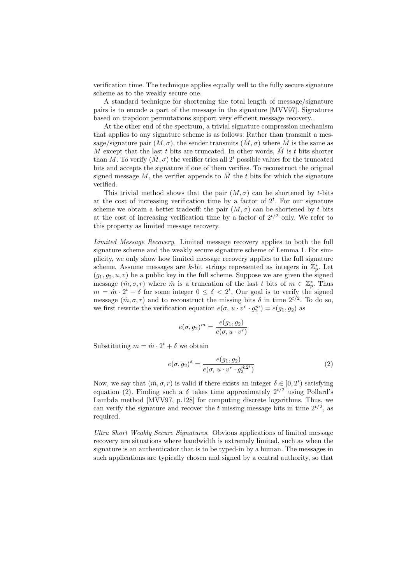verification time. The technique applies equally well to the fully secure signature scheme as to the weakly secure one.

A standard technique for shortening the total length of message/signature pairs is to encode a part of the message in the signature [MVV97]. Signatures based on trapdoor permutations support very efficient message recovery.

At the other end of the spectrum, a trivial signature compression mechanism that applies to any signature scheme is as follows: Rather than transmit a message/signature pair  $(M, \sigma)$ , the sender transmits  $(M, \sigma)$  where  $\hat{M}$  is the same as M except that the last t bits are truncated. In other words,  $M$  is t bits shorter than M. To verify  $(M, \sigma)$  the verifier tries all  $2<sup>t</sup>$  possible values for the truncated bits and accepts the signature if one of them verifies. To reconstruct the original signed message M, the verifier appends to  $\hat{M}$  the t bits for which the signature verified.

This trivial method shows that the pair  $(M, \sigma)$  can be shortened by t-bits at the cost of increasing verification time by a factor of  $2<sup>t</sup>$ . For our signature scheme we obtain a better tradeoff: the pair  $(M, \sigma)$  can be shortened by t bits at the cost of increasing verification time by a factor of  $2^{t/2}$  only. We refer to this property as limited message recovery.

Limited Message Recovery. Limited message recovery applies to both the full signature scheme and the weakly secure signature scheme of Lemma 1. For simplicity, we only show how limited message recovery applies to the full signature scheme. Assume messages are k-bit strings represented as integers in  $\mathbb{Z}_p^*$ . Let  $(g_1, g_2, u, v)$  be a public key in the full scheme. Suppose we are given the signed message  $(\hat{m}, \sigma, r)$  where  $\hat{m}$  is a truncation of the last t bits of  $m \in \mathbb{Z}_p^*$ . Thus  $m = \hat{m} \cdot 2^t + \delta$  for some integer  $0 \leq \delta < 2^t$ . Our goal is to verify the signed message  $(\hat{m}, \sigma, r)$  and to reconstruct the missing bits  $\delta$  in time  $2^{t/2}$ . To do so, we first rewrite the verification equation  $e(\sigma, u \cdot v^r \cdot g_2^m) = e(g_1, g_2)$  as

$$
e(\sigma, g_2)^m = \frac{e(g_1, g_2)}{e(\sigma, u \cdot v^r)}
$$

Substituting  $m = \hat{m} \cdot 2^t + \delta$  we obtain

$$
e(\sigma, g_2)^{\delta} = \frac{e(g_1, g_2)}{e(\sigma, u \cdot v^r \cdot g_2^{\hat{m}2^t})}
$$
(2)

Now, we say that  $(\hat{m}, \sigma, r)$  is valid if there exists an integer  $\delta \in [0, 2^t)$  satisfying equation (2). Finding such a  $\delta$  takes time approximately  $2^{t/2}$  using Pollard's Lambda method [MVV97, p.128] for computing discrete logarithms. Thus, we can verify the signature and recover the t missing message bits in time  $2^{t/2}$ , as required.

Ultra Short Weakly Secure Signatures. Obvious applications of limited message recovery are situations where bandwidth is extremely limited, such as when the signature is an authenticator that is to be typed-in by a human. The messages in such applications are typically chosen and signed by a central authority, so that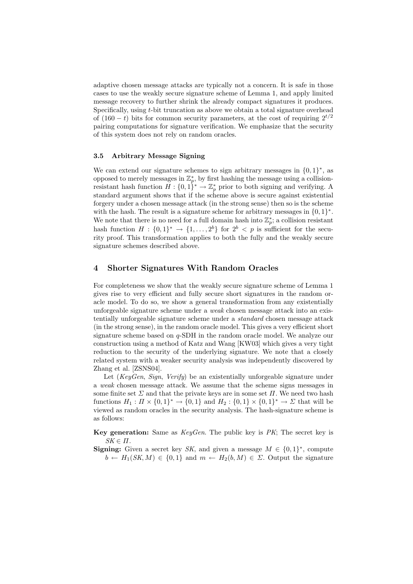adaptive chosen message attacks are typically not a concern. It is safe in those cases to use the weakly secure signature scheme of Lemma 1, and apply limited message recovery to further shrink the already compact signatures it produces. Specifically, using t-bit truncation as above we obtain a total signature overhead of  $(160 - t)$  bits for common security parameters, at the cost of requiring  $2^{t/2}$ pairing computations for signature verification. We emphasize that the security of this system does not rely on random oracles.

#### 3.5 Arbitrary Message Signing

We can extend our signature schemes to sign arbitrary messages in  $\{0,1\}^*$ , as opposed to merely messages in  $\mathbb{Z}_p^*$ , by first hashing the message using a collisionresistant hash function  $H: \{0,1\}^* \to \mathbb{Z}_p^*$  prior to both signing and verifying. A standard argument shows that if the scheme above is secure against existential forgery under a chosen message attack (in the strong sense) then so is the scheme with the hash. The result is a signature scheme for arbitrary messages in  $\{0,1\}^*$ . We note that there is no need for a full domain hash into  $\mathbb{Z}_p^*$ ; a collision resistant hash function  $H: \{0,1\}^* \to \{1,\ldots,2^b\}$  for  $2^b < p$  is sufficient for the security proof. This transformation applies to both the fully and the weakly secure signature schemes described above.

# 4 Shorter Signatures With Random Oracles

For completeness we show that the weakly secure signature scheme of Lemma 1 gives rise to very efficient and fully secure short signatures in the random oracle model. To do so, we show a general transformation from any existentially unforgeable signature scheme under a weak chosen message attack into an existentially unforgeable signature scheme under a standard chosen message attack (in the strong sense), in the random oracle model. This gives a very efficient short signature scheme based on q-SDH in the random oracle model. We analyze our construction using a method of Katz and Wang [KW03] which gives a very tight reduction to the security of the underlying signature. We note that a closely related system with a weaker security analysis was independently discovered by Zhang et al. [ZSNS04].

Let  $(KeyGen, Sign, Verify)$  be an existentially unforgeable signature under a weak chosen message attack. We assume that the scheme signs messages in some finite set  $\Sigma$  and that the private keys are in some set  $\Pi$ . We need two hash functions  $H_1: \Pi \times \{0,1\}^* \to \{0,1\}$  and  $H_2: \{0,1\} \times \{0,1\}^* \to \Sigma$  that will be viewed as random oracles in the security analysis. The hash-signature scheme is as follows:

**Key generation:** Same as  $KeyGen$ . The public key is  $PK$ ; The secret key is  $SK \in \Pi$ .

**Signing:** Given a secret key *SK*, and given a message  $M \in \{0,1\}^*$ , compute  $b \leftarrow H_1(SK, M) \in \{0, 1\}$  and  $m \leftarrow H_2(b, M) \in \Sigma$ . Output the signature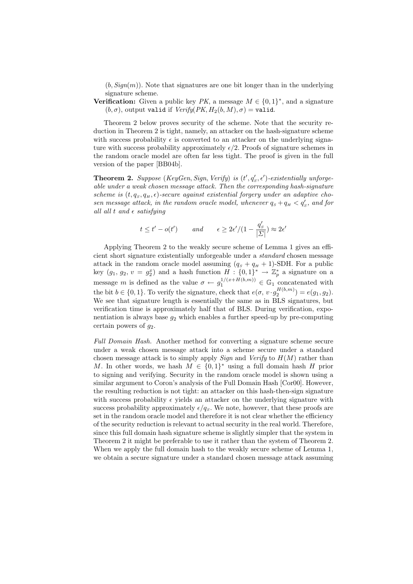$(b, Sign(m))$ . Note that signatures are one bit longer than in the underlying signature scheme.

**Verification:** Given a public key *PK*, a message  $M \in \{0,1\}^*$ , and a signature  $(b, \sigma)$ , output valid if  $Verify(PK, H_2(b, M), \sigma) =$  valid.

Theorem 2 below proves security of the scheme. Note that the security reduction in Theorem 2 is tight, namely, an attacker on the hash-signature scheme with success probability  $\epsilon$  is converted to an attacker on the underlying signature with success probability approximately  $\epsilon/2$ . Proofs of signature schemes in the random oracle model are often far less tight. The proof is given in the full version of the paper [BB04b].

**Theorem 2.** Suppose (KeyGen, Sign, Verify) is  $(t', q'_s, \epsilon')$ -existentially unforgeable under a weak chosen message attack. Then the corresponding hash-signature scheme is  $(t, q<sub>S</sub>, q<sub>H</sub>, \epsilon)$ -secure against existential forgery under an adaptive chosen message attack, in the random oracle model, whenever  $q_s + q_H < q'_s$ , and for all all  $t$  and  $\epsilon$  satisfying

$$
t \le t' - o(t')
$$
 and  $\epsilon \ge 2\epsilon'/(1 - \frac{q'_s}{|\Sigma|}) \approx 2\epsilon'$ 

Applying Theorem 2 to the weakly secure scheme of Lemma 1 gives an efficient short signature existentially unforgeable under a standard chosen message attack in the random oracle model assuming  $(q_S + q_H + 1)$ -SDH. For a public key  $(g_1, g_2, v = g_2^x)$  and a hash function  $H: \{0,1\}^* \to \mathbb{Z}_p^*$  a signature on a message m is defined as the value  $\sigma \leftarrow g_1^{1/(x+H(b,m))} \in \mathbb{G}_1$  concatenated with the bit  $b \in \{0, 1\}$ . To verify the signature, check that  $e(\sigma, v \cdot g_2^{H(b,m)}) = e(g_1, g_2)$ . We see that signature length is essentially the same as in BLS signatures, but verification time is approximately half that of BLS. During verification, exponentiation is always base  $g_2$  which enables a further speed-up by pre-computing certain powers of  $g_2$ .

Full Domain Hash. Another method for converting a signature scheme secure under a weak chosen message attack into a scheme secure under a standard chosen message attack is to simply apply  $Sign$  and  $Verify$  to  $H(M)$  rather than M. In other words, we hash  $M \in \{0,1\}^*$  using a full domain hash H prior to signing and verifying. Security in the random oracle model is shown using a similar argument to Coron's analysis of the Full Domain Hash [Cor00]. However, the resulting reduction is not tight: an attacker on this hash-then-sign signature with success probability  $\epsilon$  yields an attacker on the underlying signature with success probability approximately  $\epsilon / q_s$ . We note, however, that these proofs are set in the random oracle model and therefore it is not clear whether the efficiency of the security reduction is relevant to actual security in the real world. Therefore, since this full domain hash signature scheme is slightly simpler that the system in Theorem 2 it might be preferable to use it rather than the system of Theorem 2. When we apply the full domain hash to the weakly secure scheme of Lemma 1, we obtain a secure signature under a standard chosen message attack assuming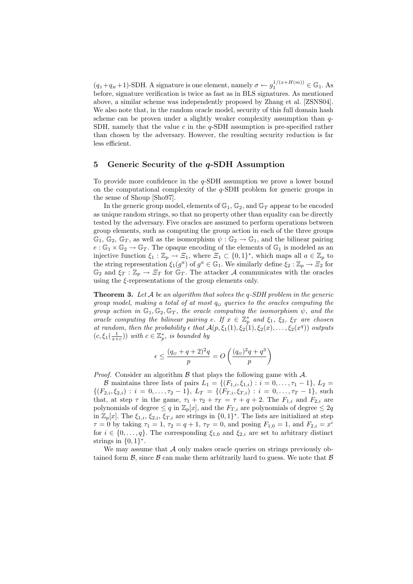$(q_s+q_H+1)$ -SDH. A signature is one element, namely  $\sigma \leftarrow g_1^{1/(x+H(m))} \in \mathbb{G}_1$ . As before, signature verification is twice as fast as in BLS signatures. As mentioned above, a similar scheme was independently proposed by Zhang et al. [ZSNS04]. We also note that, in the random oracle model, security of this full domain hash scheme can be proven under a slightly weaker complexity assumption than  $q$ -SDH, namely that the value  $c$  in the  $q$ -SDH assumption is pre-specified rather than chosen by the adversary. However, the resulting security reduction is far less efficient.

# 5 Generic Security of the q-SDH Assumption

To provide more confidence in the q-SDH assumption we prove a lower bound on the computational complexity of the  $q$ -SDH problem for generic groups in the sense of Shoup [Sho97].

In the generic group model, elements of  $\mathbb{G}_1$ ,  $\mathbb{G}_2$ , and  $\mathbb{G}_T$  appear to be encoded as unique random strings, so that no property other than equality can be directly tested by the adversary. Five oracles are assumed to perform operations between group elements, such as computing the group action in each of the three groups  $\mathbb{G}_1$ ,  $\mathbb{G}_2$ ,  $\mathbb{G}_T$ , as well as the isomorphism  $\psi : \mathbb{G}_2 \to \mathbb{G}_1$ , and the bilinear pairing  $e : \mathbb{G}_1 \times \mathbb{G}_2 \to \mathbb{G}_T$ . The opaque encoding of the elements of  $\mathbb{G}_1$  is modeled as an injective function  $\xi_1 : \mathbb{Z}_p \to \Xi_1$ , where  $\Xi_1 \subset \{0,1\}^*$ , which maps all  $a \in \mathbb{Z}_p$  to the string representation  $\xi_1(g^a)$  of  $g^a \in \mathbb{G}_1$ . We similarly define  $\xi_2 : \mathbb{Z}_p \to \Xi_2$  for  $\mathbb{G}_2$  and  $\xi_T : \mathbb{Z}_p \to \Xi_T$  for  $\mathbb{G}_T$ . The attacker A communicates with the oracles using the ξ-representations of the group elements only.

**Theorem 3.** Let  $A$  be an algorithm that solves the q-SDH problem in the generic group model, making a total of at most  $q_G$  queries to the oracles computing the group action in  $\mathbb{G}_1, \mathbb{G}_2, \mathbb{G}_T$ , the oracle computing the isomorphism  $\psi$ , and the oracle computing the bilinear pairing e. If  $x \in \mathbb{Z}_p^*$  and  $\xi_1$ ,  $\xi_2$ ,  $\xi_T$  are chosen at random, then the probability  $\epsilon$  that  $\mathcal{A}(p,\xi_1(1),\xi_2(1),\xi_2(x),\ldots,\xi_2(x^q))$  outputs  $(c, \xi_1(\frac{1}{x+c}))$  with  $c \in \mathbb{Z}_p^*$ , is bounded by

$$
\epsilon \le \frac{(q_G + q + 2)^2 q}{p} = O\left(\frac{(q_G)^2 q + q^3}{p}\right)
$$

*Proof.* Consider an algorithm  $\beta$  that plays the following game with  $\mathcal{A}$ .

B maintains three lists of pairs  $L_1 = \{(F_{1,i}, \xi_{1,i}) : i = 0, ..., \tau_1 - 1\}, L_2 =$  $\{(F_{2,i}, \xi_{2,i}) : i = 0, \ldots, \tau_2 - 1\}, L_T = \{(F_{T,i}, \xi_{T,i}) : i = 0, \ldots, \tau_T - 1\}, \text{ such}$ that, at step  $\tau$  in the game,  $\tau_1 + \tau_2 + \tau_T = \tau + q + 2$ . The  $F_{1,i}$  and  $F_{2,i}$  are polynomials of degree  $\leq q$  in  $\mathbb{Z}_p[x]$ , and the  $F_{T,i}$  are polynomials of degree  $\leq 2q$ in  $\mathbb{Z}_p[x]$ . The  $\xi_{1,i}, \xi_{2,i}, \xi_{T,i}$  are strings in  $\{0,1\}^*$ . The lists are initialized at step  $\tau = 0$  by taking  $\tau_1 = 1, \tau_2 = q + 1, \tau_T = 0$ , and posing  $F_{1,0} = 1$ , and  $F_{2,i} = x^i$ for  $i \in \{0, \ldots, q\}$ . The corresponding  $\xi_{1,0}$  and  $\xi_{2,i}$  are set to arbitrary distinct strings in  $\{0,1\}^*$ .

We may assume that  $A$  only makes oracle queries on strings previously obtained form  $\beta$ , since  $\beta$  can make them arbitrarily hard to guess. We note that  $\beta$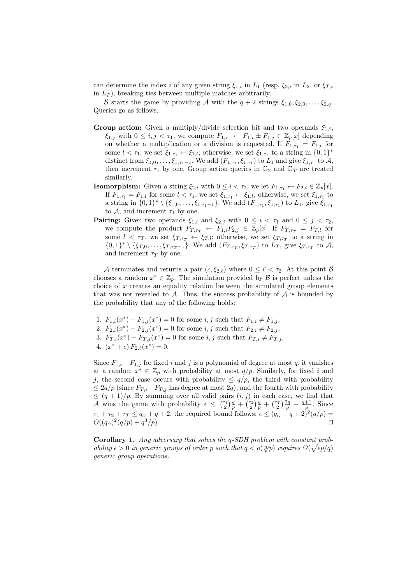can determine the index i of any given string  $\xi_{1,i}$  in  $L_1$  (resp.  $\xi_{2,i}$  in  $L_2$ , or  $\xi_{T,i}$ in  $L_T$ ), breaking ties between multiple matches arbitrarily.

B starts the game by providing A with the  $q + 2$  strings  $\xi_{1,0}, \xi_{2,0}, \ldots, \xi_{2,q}$ . Queries go as follows.

- **Group action:** Given a multiply/divide selection bit and two operands  $\xi_{1,i}$ ,  $\xi_{1,j}$  with  $0 \leq i, j < \tau_1$ , we compute  $F_{1,\tau_1} \leftarrow F_{1,i} \pm F_{1,j} \in \mathbb{Z}_p[x]$  depending on whether a multiplication or a division is requested. If  $F_{1,\tau_1} = F_{1,l}$  for some  $l < \tau_1$ , we set  $\xi_{1,\tau_1} \leftarrow \xi_{1,l}$ ; otherwise, we set  $\xi_{1,\tau_1}$  to a string in  $\{0,1\}^*$ distinct from  $\xi_{1,0},\ldots,\xi_{1,\tau_1-1}$ . We add  $(F_{1,\tau_1},\xi_{1,\tau_1})$  to  $L_1$  and give  $\xi_{1,\tau_1}$  to  $\mathcal{A},$ then increment  $\tau_1$  by one. Group action queries in  $\mathbb{G}_2$  and  $\mathbb{G}_T$  are treated similarly.
- **Isomorphism:** Given a string  $\xi_{2,i}$  with  $0 \leq i < \tau_2$ , we let  $F_{1,\tau_1} \leftarrow F_{2,i} \in \mathbb{Z}_p[x]$ . If  $F_{1,\tau_1} = F_{1,l}$  for some  $l < \tau_1$ , we set  $\xi_{1,\tau_1} \leftarrow \xi_{1,l}$ ; otherwise, we set  $\xi_{1,\tau_1}$  to a string in  $\{0,1\}^* \setminus \{\xi_{1,0},\ldots,\xi_{1,\tau_1-1}\}.$  We add  $(F_{1,\tau_1},\xi_{1,\tau_1})$  to  $L_1$ , give  $\xi_{1,\tau_1}$ to A, and increment  $\tau_1$  by one.
- **Pairing:** Given two operands  $\xi_{1,i}$  and  $\xi_{2,j}$  with  $0 \leq i < \tau_1$  and  $0 \leq j < \tau_2$ , we compute the product  $F_{T, \tau_T} \leftarrow F_{1,i}F_{2,j} \in \mathbb{Z}_p[x]$ . If  $F_{T, \tau_T} = F_{T,l}$  for some  $l < \tau_T$ , we set  $\xi_{T,\tau_T} \leftarrow \xi_{T,l}$ ; otherwise, we set  $\xi_{T,\tau_T}$  to a string in  $\{0,1\}^* \setminus \{\xi_{T,0},\ldots,\xi_{T,\tau_T-1}\}.$  We add  $(F_{T,\tau_T},\xi_{T,\tau_T})$  to  $L_T$ , give  $\xi_{T,\tau_T}$  to  $\mathcal{A},$ and increment  $\tau_T$  by one.

A terminates and returns a pair  $(c, \xi_{2,\ell})$  where  $0 \leq \ell < \tau_2$ . At this point B chooses a random  $x^* \in \mathbb{Z}_p$ . The simulation provided by  $\mathcal{B}$  is perfect unless the choice of  $x$  creates an equality relation between the simulated group elements that was not revealed to  $A$ . Thus, the success probability of  $A$  is bounded by the probability that any of the following holds:

- 1.  $F_{1,i}(x^*) F_{1,j}(x^*) = 0$  for some  $i, j$  such that  $F_{1,i} \neq F_{1,j}$ ,
- 2.  $F_{2,i}(x^*) F_{2,j}(x^*) = 0$  for some  $i, j$  such that  $F_{2,i} \neq F_{2,j}$ ,
- 3.  $F_{T,i}(x^*) F_{T,j}(x^*) = 0$  for some *i*, *j* such that  $F_{T,i} \neq F_{T,j}$ ,
- 4.  $(x^* + c) F_{2,\ell}(x^*) = 0.$

Since  $F_{1,i} - F_{1,j}$  for fixed i and j is a polynomial of degree at most q, it vanishes at a random  $x^* \in \mathbb{Z}_p$  with probability at most  $q/p$ . Similarly, for fixed i and j, the second case occurs with probability  $\leq q/p$ , the third with probability  $\leq 2q/p$  (since  $F_{T,i}-F_{T,j}$  has degree at most  $2q$ ), and the fourth with probability  $\leq (q+1)/p$ . By summing over all valid pairs  $(i, j)$  in each case, we find that A wins the game with probability  $\epsilon \leq {\binom{\tau_1}{2}} \frac{q}{p} + {\binom{\tau_2}{2}} \frac{q}{p} + {\binom{\tau_T}{2}} \frac{2q}{p} + \frac{q+1}{p}$ . Since  $\tau_1 + \tau_2 + \tau_T \leq q_G + q + 2$ , the required bound follows:  $\epsilon \leq (q_G + q + 2)^2(q/p)$  $O((q_G)^2(q/p) + q$  $3/p$ .

Corollary 1. Any adversary that solves the q-SDH problem with constant prob-**CONDITE:** Any diversing that solves the q-SDT problem with constant pro-<br>ability  $\epsilon > 0$  in generic groups of order p such that  $q < o(\sqrt[3]{p})$  requires  $\Omega(\sqrt{\epsilon p/q})$ generic group operations.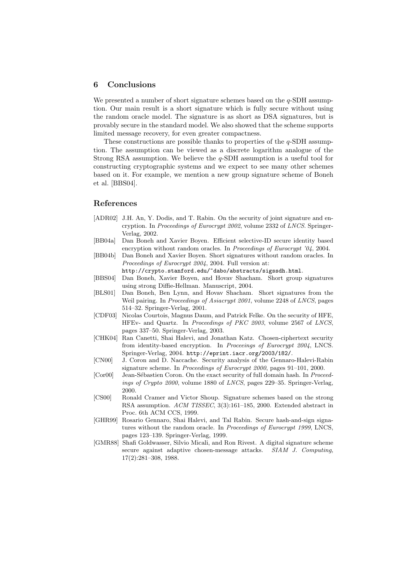# 6 Conclusions

We presented a number of short signature schemes based on the  $q$ -SDH assumption. Our main result is a short signature which is fully secure without using the random oracle model. The signature is as short as DSA signatures, but is provably secure in the standard model. We also showed that the scheme supports limited message recovery, for even greater compactness.

These constructions are possible thanks to properties of the  $q$ -SDH assumption. The assumption can be viewed as a discrete logarithm analogue of the Strong RSA assumption. We believe the  $q$ -SDH assumption is a useful tool for constructing cryptographic systems and we expect to see many other schemes based on it. For example, we mention a new group signature scheme of Boneh et al. [BBS04].

# References

- [ADR02] J.H. An, Y. Dodis, and T. Rabin. On the security of joint signature and encryption. In Proceedings of Eurocrypt 2002, volume 2332 of LNCS. Springer-Verlag, 2002.
- [BB04a] Dan Boneh and Xavier Boyen. Efficient selective-ID secure identity based encryption without random oracles. In Proceedings of Eurocrypt '04, 2004.
- [BB04b] Dan Boneh and Xavier Boyen. Short signatures without random oracles. In Proceedings of Eurocrypt 2004, 2004. Full version at:
	- http://crypto.stanford.edu/~dabo/abstracts/sigssdh.html.
- [BBS04] Dan Boneh, Xavier Boyen, and Hovav Shacham. Short group signatures using strong Diffie-Hellman. Manuscript, 2004.
- [BLS01] Dan Boneh, Ben Lynn, and Hovav Shacham. Short signatures from the Weil pairing. In Proceedings of Asiacrypt 2001, volume 2248 of LNCS, pages 514–32. Springer-Verlag, 2001.
- [CDF03] Nicolas Courtois, Magnus Daum, and Patrick Felke. On the security of HFE, HFEv- and Quartz. In Proceedings of PKC 2003, volume 2567 of LNCS, pages 337–50. Springer-Verlag, 2003.
- [CHK04] Ran Canetti, Shai Halevi, and Jonathan Katz. Chosen-ciphertext security from identity-based encryption. In Proceeings of Eurocrypt 2004, LNCS. Springer-Verlag, 2004. http://eprint.iacr.org/2003/182/.
- [CN00] J. Coron and D. Naccache. Security analysis of the Gennaro-Halevi-Rabin signature scheme. In Proceedings of Eurocrypt 2000, pages 91–101, 2000.
- [Cor00] Jean-Sébastien Coron. On the exact security of full domain hash. In Proceedings of Crypto 2000, volume 1880 of LNCS, pages 229–35. Springer-Verlag, 2000.
- [CS00] Ronald Cramer and Victor Shoup. Signature schemes based on the strong RSA assumption. ACM TISSEC, 3(3):161–185, 2000. Extended abstract in Proc. 6th ACM CCS, 1999.
- [GHR99] Rosario Gennaro, Shai Halevi, and Tal Rabin. Secure hash-and-sign signatures without the random oracle. In Proceedings of Eurocrypt 1999, LNCS, pages 123–139. Springer-Verlag, 1999.
- [GMR88] Shafi Goldwasser, Silvio Micali, and Ron Rivest. A digital signature scheme secure against adaptive chosen-message attacks. SIAM J. Computing, 17(2):281–308, 1988.